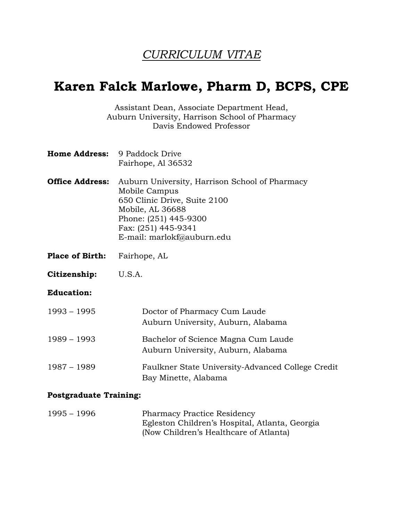# *CURRICULUM VITAE*

# **Karen Falck Marlowe, Pharm D, BCPS, CPE**

Assistant Dean, Associate Department Head, Auburn University, Harrison School of Pharmacy Davis Endowed Professor

| <b>Home Address:</b> | 9 Paddock Drive    |
|----------------------|--------------------|
|                      | Fairhope, Al 36532 |

- **Office Address:** Auburn University, Harrison School of Pharmacy Mobile Campus 650 Clinic Drive, Suite 2100 Mobile, AL 36688 Phone: (251) 445-9300 Fax: (251) 445-9341 E-mail: marlokf@auburn.edu
- **Place of Birth:** Fairhope, AL
- **Citizenship:** U.S.A.

#### **Education:**

| $1993 - 1995$ | Doctor of Pharmacy Cum Laude<br>Auburn University, Auburn, Alabama        |
|---------------|---------------------------------------------------------------------------|
| $1989 - 1993$ | Bachelor of Science Magna Cum Laude<br>Auburn University, Auburn, Alabama |
| $1987 - 1989$ | Faulkner State University-Advanced College Credit<br>Bay Minette, Alabama |

#### **Postgraduate Training:**

| $1995 - 1996$ | <b>Pharmacy Practice Residency</b>             |
|---------------|------------------------------------------------|
|               | Egleston Children's Hospital, Atlanta, Georgia |
|               | (Now Children's Healthcare of Atlanta)         |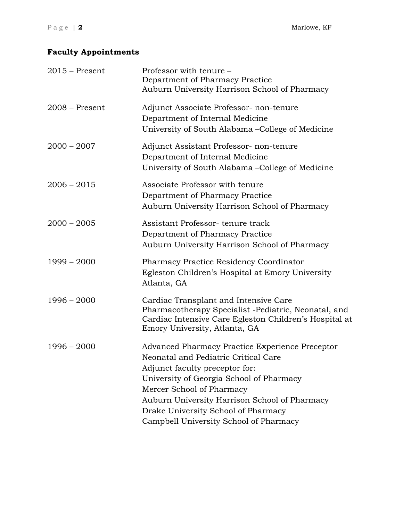# **Faculty Appointments**

| $2015$ – Present | Professor with tenure -<br>Department of Pharmacy Practice<br>Auburn University Harrison School of Pharmacy                                                                                                                                                                                                                          |
|------------------|--------------------------------------------------------------------------------------------------------------------------------------------------------------------------------------------------------------------------------------------------------------------------------------------------------------------------------------|
| $2008 -$ Present | Adjunct Associate Professor- non-tenure<br>Department of Internal Medicine<br>University of South Alabama – College of Medicine                                                                                                                                                                                                      |
| $2000 - 2007$    | Adjunct Assistant Professor- non-tenure<br>Department of Internal Medicine<br>University of South Alabama – College of Medicine                                                                                                                                                                                                      |
| $2006 - 2015$    | Associate Professor with tenure<br>Department of Pharmacy Practice<br>Auburn University Harrison School of Pharmacy                                                                                                                                                                                                                  |
| $2000 - 2005$    | Assistant Professor-tenure track<br>Department of Pharmacy Practice<br>Auburn University Harrison School of Pharmacy                                                                                                                                                                                                                 |
| $1999 - 2000$    | <b>Pharmacy Practice Residency Coordinator</b><br>Egleston Children's Hospital at Emory University<br>Atlanta, GA                                                                                                                                                                                                                    |
| $1996 - 2000$    | Cardiac Transplant and Intensive Care<br>Pharmacotherapy Specialist -Pediatric, Neonatal, and<br>Cardiac Intensive Care Egleston Children's Hospital at<br>Emory University, Atlanta, GA                                                                                                                                             |
| $1996 - 2000$    | Advanced Pharmacy Practice Experience Preceptor<br>Neonatal and Pediatric Critical Care<br>Adjunct faculty preceptor for:<br>University of Georgia School of Pharmacy<br>Mercer School of Pharmacy<br>Auburn University Harrison School of Pharmacy<br>Drake University School of Pharmacy<br>Campbell University School of Pharmacy |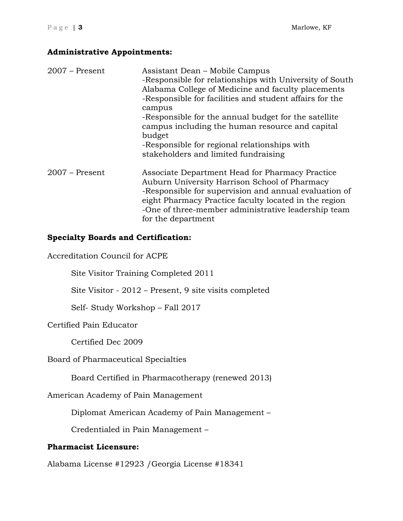## **Administrative Appointments:**

| $2007$ – Present | Assistant Dean – Mobile Campus<br>-Responsible for relationships with University of South<br>Alabama College of Medicine and faculty placements<br>-Responsible for facilities and student affairs for the<br>campus<br>-Responsible for the annual budget for the satellite<br>campus including the human resource and capital<br>budget<br>-Responsible for regional relationships with<br>stakeholders and limited fundraising |
|------------------|-----------------------------------------------------------------------------------------------------------------------------------------------------------------------------------------------------------------------------------------------------------------------------------------------------------------------------------------------------------------------------------------------------------------------------------|
| $2007$ – Present | Associate Department Head for Pharmacy Practice<br>Auburn University Harrison School of Pharmacy<br>-Responsible for supervision and annual evaluation of<br>eight Pharmacy Practice faculty located in the region<br>-One of three-member administrative leadership team<br>for the department                                                                                                                                   |

# **Specialty Boards and Certification:**

Accreditation Council for ACPE

Site Visitor Training Completed 2011

Site Visitor - 2012 – Present, 9 site visits completed

Self- Study Workshop – Fall 2017

Certified Pain Educator

Certified Dec 2009

Board of Pharmaceutical Specialties

Board Certified in Pharmacotherapy (renewed 2013)

American Academy of Pain Management

Diplomat American Academy of Pain Management –

Credentialed in Pain Management –

## **Pharmacist Licensure:**

Alabama License #12923 /Georgia License #18341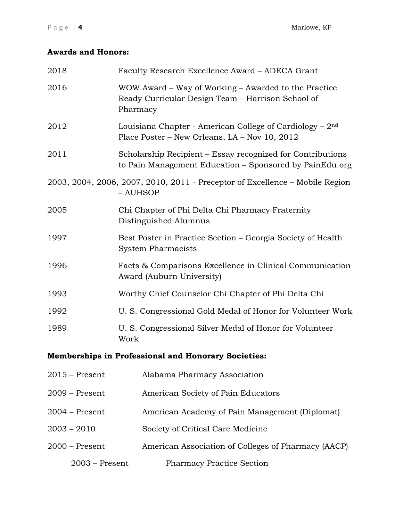# **Awards and Honors:**

| 2018             | Faculty Research Excellence Award - ADECA Grant                                                                       |  |  |
|------------------|-----------------------------------------------------------------------------------------------------------------------|--|--|
| 2016             | WOW Award – Way of Working – Awarded to the Practice<br>Ready Curricular Design Team - Harrison School of<br>Pharmacy |  |  |
| 2012             | Louisiana Chapter - American College of Cardiology $-2nd$<br>Place Poster – New Orleans, LA – Nov 10, 2012            |  |  |
| 2011             | Scholarship Recipient – Essay recognized for Contributions<br>to Pain Management Education – Sponsored by PainEdu.org |  |  |
|                  | 2003, 2004, 2006, 2007, 2010, 2011 - Preceptor of Excellence - Mobile Region<br>- AUHSOP                              |  |  |
| 2005             | Chi Chapter of Phi Delta Chi Pharmacy Fraternity<br>Distinguished Alumnus                                             |  |  |
| 1997             | Best Poster in Practice Section – Georgia Society of Health<br><b>System Pharmacists</b>                              |  |  |
| 1996             | Facts & Comparisons Excellence in Clinical Communication<br>Award (Auburn University)                                 |  |  |
| 1993             | Worthy Chief Counselor Chi Chapter of Phi Delta Chi                                                                   |  |  |
| 1992             | U. S. Congressional Gold Medal of Honor for Volunteer Work                                                            |  |  |
| 1989             | U. S. Congressional Silver Medal of Honor for Volunteer<br>Work                                                       |  |  |
|                  | <b>Memberships in Professional and Honorary Societies:</b>                                                            |  |  |
| $2015$ – Present | Alabama Pharmacy Association                                                                                          |  |  |
| $2009$ – Present | American Society of Pain Educators                                                                                    |  |  |
| $2004$ – Present | American Academy of Pain Management (Diplomat)                                                                        |  |  |
| $2003 - 2010$    | Society of Critical Care Medicine                                                                                     |  |  |
| 2000 – Present   | American Association of Colleges of Pharmacy (AACP)                                                                   |  |  |
| $2003$ – Present | <b>Pharmacy Practice Section</b>                                                                                      |  |  |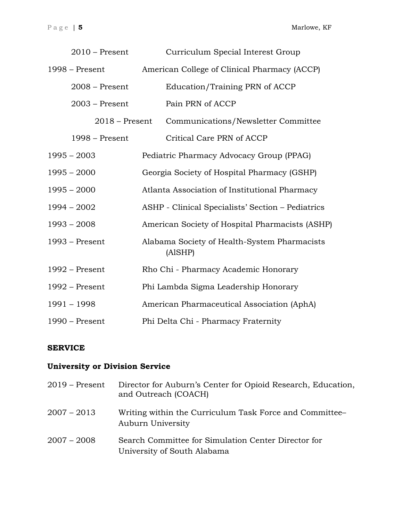| $2010$ – Present | Curriculum Special Interest Group                       |  |
|------------------|---------------------------------------------------------|--|
| $1998 - Present$ | American College of Clinical Pharmacy (ACCP)            |  |
| $2008$ – Present | Education/Training PRN of ACCP                          |  |
| $2003$ – Present | Pain PRN of ACCP                                        |  |
| $2018 -$ Present | Communications/Newsletter Committee                     |  |
| $1998 - Present$ | Critical Care PRN of ACCP                               |  |
| $1995 - 2003$    | Pediatric Pharmacy Advocacy Group (PPAG)                |  |
| $1995 - 2000$    | Georgia Society of Hospital Pharmacy (GSHP)             |  |
| $1995 - 2000$    | Atlanta Association of Institutional Pharmacy           |  |
| $1994 - 2002$    | ASHP - Clinical Specialists' Section - Pediatrics       |  |
| $1993 - 2008$    | American Society of Hospital Pharmacists (ASHP)         |  |
| $1993$ – Present | Alabama Society of Health-System Pharmacists<br>(AlSHP) |  |
| $1992$ – Present | Rho Chi - Pharmacy Academic Honorary                    |  |
| $1992$ – Present | Phi Lambda Sigma Leadership Honorary                    |  |
| 1991 - 1998      | American Pharmaceutical Association (AphA)              |  |
| $1990$ – Present | Phi Delta Chi - Pharmacy Fraternity                     |  |

## **SERVICE**

# **University or Division Service**

| $2019$ – Present | Director for Auburn's Center for Opioid Research, Education,<br>and Outreach (COACH) |
|------------------|--------------------------------------------------------------------------------------|
| $2007 - 2013$    | Writing within the Curriculum Task Force and Committee<br>Auburn University          |
| $2007 - 2008$    | Search Committee for Simulation Center Director for<br>University of South Alabama   |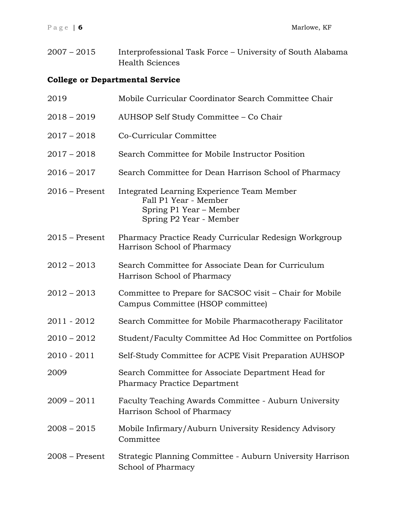2007 – 2015 Interprofessional Task Force – University of South Alabama Health Sciences

# **College or Departmental Service**

| 2019             | Mobile Curricular Coordinator Search Committee Chair                                                                      |
|------------------|---------------------------------------------------------------------------------------------------------------------------|
| $2018 - 2019$    | AUHSOP Self Study Committee - Co Chair                                                                                    |
| $2017 - 2018$    | Co-Curricular Committee                                                                                                   |
| $2017 - 2018$    | Search Committee for Mobile Instructor Position                                                                           |
| $2016 - 2017$    | Search Committee for Dean Harrison School of Pharmacy                                                                     |
| $2016$ – Present | Integrated Learning Experience Team Member<br>Fall P1 Year - Member<br>Spring P1 Year – Member<br>Spring P2 Year - Member |
| $2015$ – Present | Pharmacy Practice Ready Curricular Redesign Workgroup<br>Harrison School of Pharmacy                                      |
| $2012 - 2013$    | Search Committee for Associate Dean for Curriculum<br>Harrison School of Pharmacy                                         |
| $2012 - 2013$    | Committee to Prepare for SACSOC visit – Chair for Mobile<br>Campus Committee (HSOP committee)                             |
| 2011 - 2012      | Search Committee for Mobile Pharmacotherapy Facilitator                                                                   |
| $2010 - 2012$    | Student/Faculty Committee Ad Hoc Committee on Portfolios                                                                  |
| 2010 - 2011      | Self-Study Committee for ACPE Visit Preparation AUHSOP                                                                    |
| 2009             | Search Committee for Associate Department Head for<br><b>Pharmacy Practice Department</b>                                 |
| $2009 - 2011$    | Faculty Teaching Awards Committee - Auburn University<br>Harrison School of Pharmacy                                      |
| $2008 - 2015$    | Mobile Infirmary/Auburn University Residency Advisory<br>Committee                                                        |
| $2008 -$ Present | Strategic Planning Committee - Auburn University Harrison<br>School of Pharmacy                                           |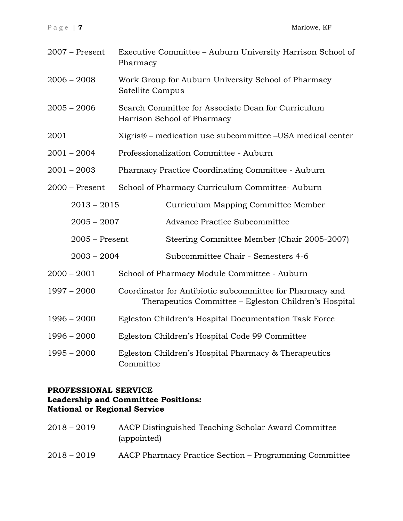| $2007$ – Present | Executive Committee - Auburn University Harrison School of<br>Pharmacy                                            |                                                   |
|------------------|-------------------------------------------------------------------------------------------------------------------|---------------------------------------------------|
| $2006 - 2008$    | Work Group for Auburn University School of Pharmacy<br>Satellite Campus                                           |                                                   |
| $2005 - 2006$    | Search Committee for Associate Dean for Curriculum<br>Harrison School of Pharmacy                                 |                                                   |
| 2001             | Xigris <sup>®</sup> – medication use subcommittee –USA medical center                                             |                                                   |
| $2001 - 2004$    | Professionalization Committee - Auburn                                                                            |                                                   |
| $2001 - 2003$    |                                                                                                                   | Pharmacy Practice Coordinating Committee - Auburn |
| $2000$ – Present |                                                                                                                   | School of Pharmacy Curriculum Committee-Auburn    |
| $2013 - 2015$    |                                                                                                                   | Curriculum Mapping Committee Member               |
| $2005 - 2007$    |                                                                                                                   | Advance Practice Subcommittee                     |
| $2005 -$ Present |                                                                                                                   | Steering Committee Member (Chair 2005-2007)       |
| $2003 - 2004$    |                                                                                                                   | Subcommittee Chair - Semesters 4-6                |
| $2000 - 2001$    |                                                                                                                   | School of Pharmacy Module Committee - Auburn      |
| $1997 - 2000$    | Coordinator for Antibiotic subcommittee for Pharmacy and<br>Therapeutics Committee – Egleston Children's Hospital |                                                   |
| $1996 - 2000$    | Egleston Children's Hospital Documentation Task Force                                                             |                                                   |
| $1996 - 2000$    | Egleston Children's Hospital Code 99 Committee                                                                    |                                                   |
| $1995 - 2000$    | Egleston Children's Hospital Pharmacy & Therapeutics<br>Committee                                                 |                                                   |

# **PROFESSIONAL SERVICE Leadership and Committee Positions: National or Regional Service**

| $2018 - 2019$ | AACP Distinguished Teaching Scholar Award Committee<br>(appointed) |
|---------------|--------------------------------------------------------------------|
| $2018 - 2019$ | AACP Pharmacy Practice Section – Programming Committee             |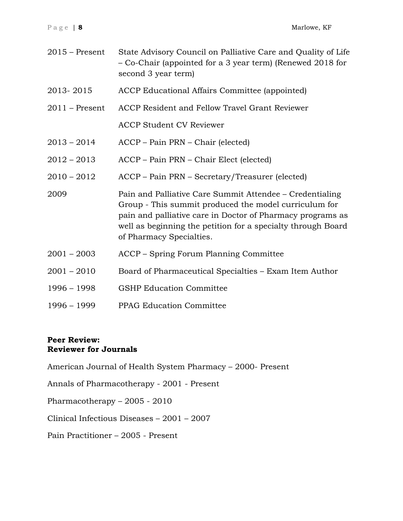| $2015$ – Present | State Advisory Council on Palliative Care and Quality of Life<br>– Co-Chair (appointed for a 3 year term) (Renewed 2018 for<br>second 3 year term)                                                                                                                          |
|------------------|-----------------------------------------------------------------------------------------------------------------------------------------------------------------------------------------------------------------------------------------------------------------------------|
| 2013-2015        | ACCP Educational Affairs Committee (appointed)                                                                                                                                                                                                                              |
| $2011$ – Present | ACCP Resident and Fellow Travel Grant Reviewer                                                                                                                                                                                                                              |
|                  | <b>ACCP Student CV Reviewer</b>                                                                                                                                                                                                                                             |
| $2013 - 2014$    | ACCP – Pain PRN – Chair (elected)                                                                                                                                                                                                                                           |
| $2012 - 2013$    | ACCP – Pain PRN – Chair Elect (elected)                                                                                                                                                                                                                                     |
| $2010 - 2012$    | ACCP – Pain PRN – Secretary/Treasurer (elected)                                                                                                                                                                                                                             |
| 2009             | Pain and Palliative Care Summit Attendee – Credentialing<br>Group - This summit produced the model curriculum for<br>pain and palliative care in Doctor of Pharmacy programs as<br>well as beginning the petition for a specialty through Board<br>of Pharmacy Specialties. |
| $2001 - 2003$    | ACCP – Spring Forum Planning Committee                                                                                                                                                                                                                                      |
| $2001 - 2010$    | Board of Pharmaceutical Specialties - Exam Item Author                                                                                                                                                                                                                      |
| $1996 - 1998$    | <b>GSHP Education Committee</b>                                                                                                                                                                                                                                             |
| 1996 - 1999      | <b>PPAG Education Committee</b>                                                                                                                                                                                                                                             |

# **Peer Review: Reviewer for Journals**

American Journal of Health System Pharmacy – 2000- Present

Annals of Pharmacotherapy - 2001 - Present

Pharmacotherapy – 2005 - 2010

Clinical Infectious Diseases – 2001 – 2007

Pain Practitioner – 2005 - Present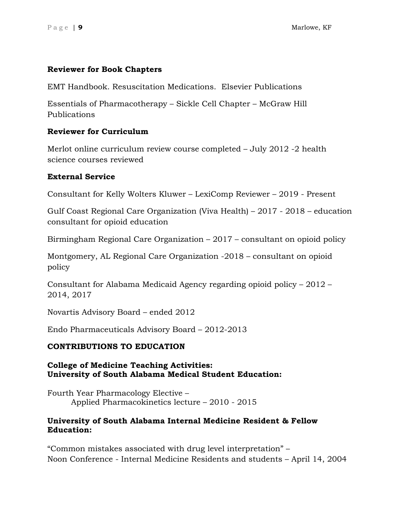### **Reviewer for Book Chapters**

EMT Handbook. Resuscitation Medications. Elsevier Publications

Essentials of Pharmacotherapy – Sickle Cell Chapter – McGraw Hill Publications

## **Reviewer for Curriculum**

Merlot online curriculum review course completed – July 2012 -2 health science courses reviewed

## **External Service**

Consultant for Kelly Wolters Kluwer – LexiComp Reviewer – 2019 - Present

Gulf Coast Regional Care Organization (Viva Health) – 2017 - 2018 – education consultant for opioid education

Birmingham Regional Care Organization – 2017 – consultant on opioid policy

Montgomery, AL Regional Care Organization -2018 – consultant on opioid policy

Consultant for Alabama Medicaid Agency regarding opioid policy – 2012 – 2014, 2017

Novartis Advisory Board – ended 2012

Endo Pharmaceuticals Advisory Board – 2012-2013

## **CONTRIBUTIONS TO EDUCATION**

## **College of Medicine Teaching Activities: University of South Alabama Medical Student Education:**

Fourth Year Pharmacology Elective – Applied Pharmacokinetics lecture – 2010 - 2015

#### **University of South Alabama Internal Medicine Resident & Fellow Education:**

"Common mistakes associated with drug level interpretation" – Noon Conference - Internal Medicine Residents and students – April 14, 2004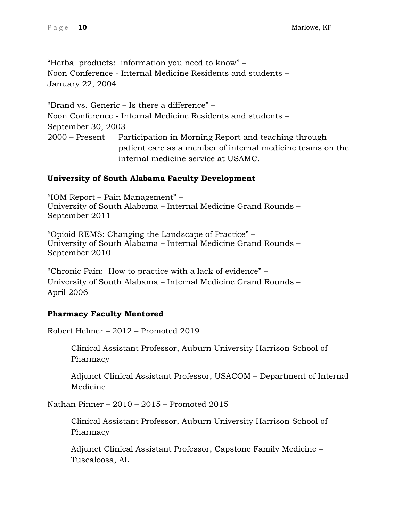"Herbal products: information you need to know" – Noon Conference - Internal Medicine Residents and students – January 22, 2004

"Brand vs. Generic – Is there a difference" – Noon Conference - Internal Medicine Residents and students – September 30, 2003 2000 – Present Participation in Morning Report and teaching through patient care as a member of internal medicine teams on the internal medicine service at USAMC.

# **University of South Alabama Faculty Development**

"IOM Report – Pain Management" – University of South Alabama – Internal Medicine Grand Rounds – September 2011

"Opioid REMS: Changing the Landscape of Practice" – University of South Alabama – Internal Medicine Grand Rounds – September 2010

"Chronic Pain: How to practice with a lack of evidence" – University of South Alabama – Internal Medicine Grand Rounds – April 2006

# **Pharmacy Faculty Mentored**

Robert Helmer – 2012 – Promoted 2019

Clinical Assistant Professor, Auburn University Harrison School of Pharmacy

Adjunct Clinical Assistant Professor, USACOM – Department of Internal Medicine

Nathan Pinner – 2010 – 2015 – Promoted 2015

Clinical Assistant Professor, Auburn University Harrison School of Pharmacy

Adjunct Clinical Assistant Professor, Capstone Family Medicine – Tuscaloosa, AL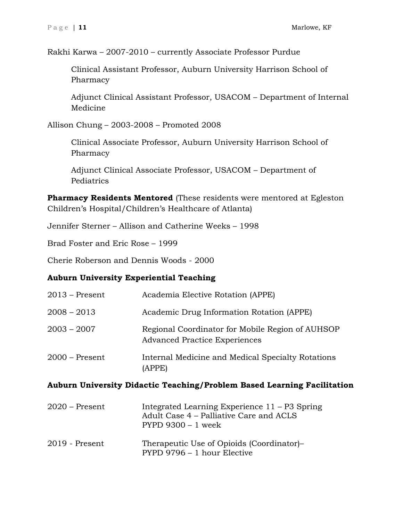Rakhi Karwa – 2007-2010 – currently Associate Professor Purdue

Clinical Assistant Professor, Auburn University Harrison School of Pharmacy

Adjunct Clinical Assistant Professor, USACOM – Department of Internal Medicine

Allison Chung – 2003-2008 – Promoted 2008

Clinical Associate Professor, Auburn University Harrison School of Pharmacy

Adjunct Clinical Associate Professor, USACOM – Department of Pediatrics

**Pharmacy Residents Mentored** (These residents were mentored at Egleston Children's Hospital/Children's Healthcare of Atlanta)

Jennifer Sterner – Allison and Catherine Weeks – 1998

Brad Foster and Eric Rose – 1999

Cherie Roberson and Dennis Woods - 2000

## **Auburn University Experiential Teaching**

| $2013$ – Present | Academia Elective Rotation (APPE)                                                        |
|------------------|------------------------------------------------------------------------------------------|
| $2008 - 2013$    | Academic Drug Information Rotation (APPE)                                                |
| $2003 - 2007$    | Regional Coordinator for Mobile Region of AUHSOP<br><b>Advanced Practice Experiences</b> |
| $2000$ – Present | Internal Medicine and Medical Specialty Rotations<br>(APPE)                              |

## **Auburn University Didactic Teaching/Problem Based Learning Facilitation**

| $2020$ – Present | Integrated Learning Experience $11 - P3$ Spring<br>Adult Case 4 – Palliative Care and ACLS<br>$PYPD$ 9300 – 1 week |
|------------------|--------------------------------------------------------------------------------------------------------------------|
| $2019$ - Present | Therapeutic Use of Opioids (Coordinator)-<br>PYPD 9796 - 1 hour Elective                                           |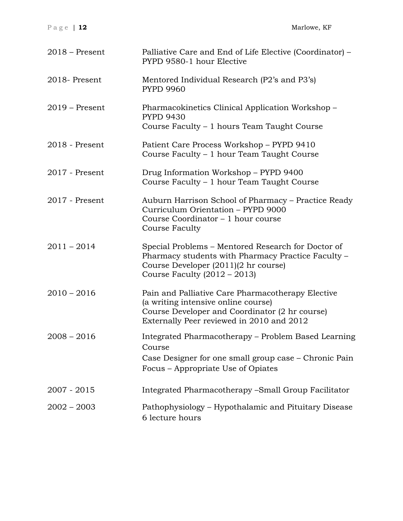| Page   $12$      | Marlowe, KF                                                                                                                                                                             |
|------------------|-----------------------------------------------------------------------------------------------------------------------------------------------------------------------------------------|
| $2018$ – Present | Palliative Care and End of Life Elective (Coordinator) –<br>PYPD 9580-1 hour Elective                                                                                                   |
| 2018-Present     | Mentored Individual Research (P2's and P3's)<br><b>PYPD 9960</b>                                                                                                                        |
| $2019$ – Present | Pharmacokinetics Clinical Application Workshop -<br><b>PYPD 9430</b><br>Course Faculty - 1 hours Team Taught Course                                                                     |
| $2018$ - Present | Patient Care Process Workshop – PYPD 9410<br>Course Faculty - 1 hour Team Taught Course                                                                                                 |
| $2017$ - Present | Drug Information Workshop - PYPD 9400<br>Course Faculty – 1 hour Team Taught Course                                                                                                     |
| $2017$ - Present | Auburn Harrison School of Pharmacy – Practice Ready<br>Curriculum Orientation - PYPD 9000<br>Course Coordinator – 1 hour course<br>Course Faculty                                       |
| $2011 - 2014$    | Special Problems – Mentored Research for Doctor of<br>Pharmacy students with Pharmacy Practice Faculty –<br>Course Developer (2011)(2 hr course)<br>Course Faculty $(2012 - 2013)$      |
| $2010 - 2016$    | Pain and Palliative Care Pharmacotherapy Elective<br>(a writing intensive online course)<br>Course Developer and Coordinator (2 hr course)<br>Externally Peer reviewed in 2010 and 2012 |
| $2008 - 2016$    | Integrated Pharmacotherapy – Problem Based Learning<br>Course<br>Case Designer for one small group case – Chronic Pain<br>Focus – Appropriate Use of Opiates                            |
| $2007 - 2015$    | Integrated Pharmacotherapy - Small Group Facilitator                                                                                                                                    |
| $2002 - 2003$    | Pathophysiology – Hypothalamic and Pituitary Disease<br>6 lecture hours                                                                                                                 |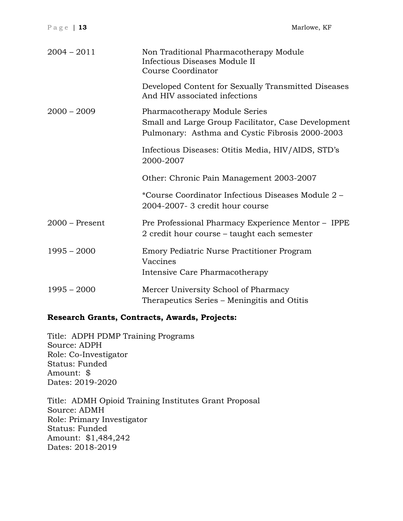| Page   13        | Marlowe, KF                                                                                                                             |
|------------------|-----------------------------------------------------------------------------------------------------------------------------------------|
| $2004 - 2011$    | Non Traditional Pharmacotherapy Module<br>Infectious Diseases Module II<br><b>Course Coordinator</b>                                    |
|                  | Developed Content for Sexually Transmitted Diseases<br>And HIV associated infections                                                    |
| $2000 - 2009$    | Pharmacotherapy Module Series<br>Small and Large Group Facilitator, Case Development<br>Pulmonary: Asthma and Cystic Fibrosis 2000-2003 |
|                  | Infectious Diseases: Otitis Media, HIV/AIDS, STD's<br>2000-2007                                                                         |
|                  | Other: Chronic Pain Management 2003-2007                                                                                                |
|                  | *Course Coordinator Infectious Diseases Module 2 -<br>2004-2007- 3 credit hour course                                                   |
| $2000$ – Present | Pre Professional Pharmacy Experience Mentor - IPPE<br>2 credit hour course – taught each semester                                       |
| $1995 - 2000$    | Emory Pediatric Nurse Practitioner Program<br>Vaccines<br>Intensive Care Pharmacotherapy                                                |
| $1995 - 2000$    | Mercer University School of Pharmacy<br>Therapeutics Series - Meningitis and Otitis                                                     |
|                  |                                                                                                                                         |

## **Research Grants, Contracts, Awards, Projects:**

Title: ADPH PDMP Training Programs Source: ADPH Role: Co-Investigator Status: Funded Amount: \$ Dates: 2019-2020

Title: ADMH Opioid Training Institutes Grant Proposal Source: ADMH Role: Primary Investigator Status: Funded Amount: \$1,484,242 Dates: 2018-2019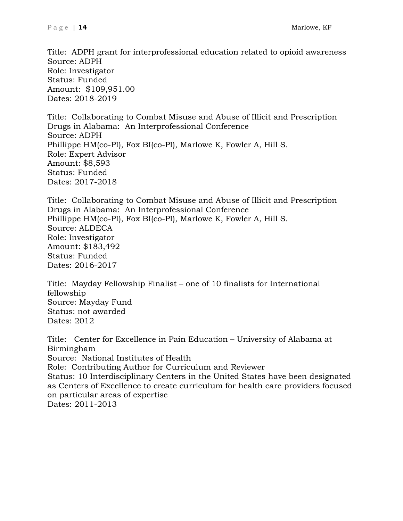Title: ADPH grant for interprofessional education related to opioid awareness Source: ADPH Role: Investigator Status: Funded Amount: \$109,951.00 Dates: 2018-2019

Title: Collaborating to Combat Misuse and Abuse of Illicit and Prescription Drugs in Alabama: An Interprofessional Conference Source: ADPH Phillippe HM(co-PI), Fox BI(co-PI), Marlowe K, Fowler A, Hill S. Role: Expert Advisor Amount: \$8,593 Status: Funded Dates: 2017-2018

Title: Collaborating to Combat Misuse and Abuse of Illicit and Prescription Drugs in Alabama: An Interprofessional Conference Phillippe HM(co-PI), Fox BI(co-PI), Marlowe K, Fowler A, Hill S. Source: ALDECA Role: Investigator Amount: \$183,492 Status: Funded Dates: 2016-2017

Title: Mayday Fellowship Finalist – one of 10 finalists for International fellowship Source: Mayday Fund Status: not awarded Dates: 2012

Title: Center for Excellence in Pain Education – University of Alabama at Birmingham Source: National Institutes of Health Role: Contributing Author for Curriculum and Reviewer Status: 10 Interdisciplinary Centers in the United States have been designated as Centers of Excellence to create curriculum for health care providers focused on particular areas of expertise Dates: 2011-2013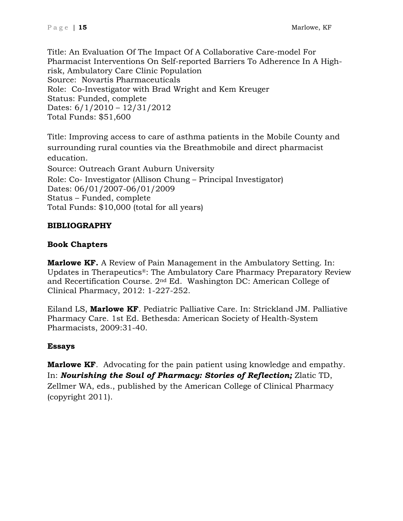Title: An Evaluation Of The Impact Of A Collaborative Care-model For Pharmacist Interventions On Self-reported Barriers To Adherence In A Highrisk, Ambulatory Care Clinic Population Source: Novartis Pharmaceuticals Role: Co-Investigator with Brad Wright and Kem Kreuger Status: Funded, complete Dates: 6/1/2010 – 12/31/2012 Total Funds: \$51,600

Title: Improving access to care of asthma patients in the Mobile County and surrounding rural counties via the Breathmobile and direct pharmacist education. Source: Outreach Grant Auburn University Role: Co- Investigator (Allison Chung – Principal Investigator) Dates: 06/01/2007-06/01/2009 Status – Funded, complete Total Funds: \$10,000 (total for all years)

# **BIBLIOGRAPHY**

# **Book Chapters**

**Marlowe KF.** A Review of Pain Management in the Ambulatory Setting. In: Updates in Therapeutics®: The Ambulatory Care Pharmacy Preparatory Review and Recertification Course. 2nd Ed. Washington DC: American College of Clinical Pharmacy, 2012: 1-227-252.

Eiland LS, **Marlowe KF**. Pediatric Palliative Care. In: Strickland JM. Palliative Pharmacy Care. 1st Ed. Bethesda: American Society of Health-System Pharmacists, 2009:31-40.

# **Essays**

**Marlowe KF**. Advocating for the pain patient using knowledge and empathy. In: *Nourishing the Soul of Pharmacy: Stories of Reflection;* Zlatic TD, Zellmer WA, eds., published by the American College of Clinical Pharmacy (copyright 2011).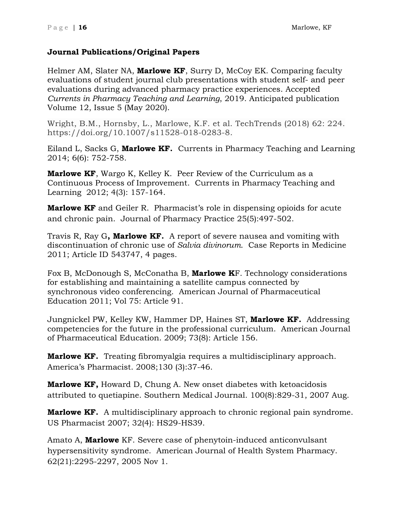# **Journal Publications/Original Papers**

Helmer AM, Slater NA, **Marlowe KF**, Surry D, McCoy EK. Comparing faculty evaluations of student journal club presentations with student self- and peer evaluations during advanced pharmacy practice experiences. Accepted *Currents in Pharmacy Teaching and Learning*, 2019. Anticipated publication Volume 12, Issue 5 (May 2020).

Wright, B.M., Hornsby, L., Marlowe, K.F. et al. TechTrends (2018) 62: 224. https://doi.org/10.1007/s11528-018-0283-8.

Eiland L, Sacks G, **Marlowe KF.** Currents in Pharmacy Teaching and Learning 2014; 6(6): 752-758.

**Marlowe KF**, Wargo K, Kelley K. Peer Review of the Curriculum as a Continuous Process of Improvement. Currents in Pharmacy Teaching and Learning 2012; 4(3): 157-164.

**Marlowe KF** and Geiler R. Pharmacist's role in dispensing opioids for acute and chronic pain. Journal of Pharmacy Practice 25(5):497-502.

Travis R, Ray G**, Marlowe KF.** A report of severe nausea and vomiting with discontinuation of chronic use of *Salvia divinorum*. Case Reports in Medicine 2011; Article ID 543747, 4 pages.

Fox B, McDonough S, McConatha B, **Marlowe K**F. Technology considerations for establishing and maintaining a satellite campus connected by synchronous video conferencing. American Journal of Pharmaceutical Education 2011; Vol 75: Article 91.

Jungnickel PW, Kelley KW, Hammer DP, Haines ST, **Marlowe KF.** Addressing competencies for the future in the professional curriculum. American Journal of Pharmaceutical Education. 2009; 73(8): Article 156.

**Marlowe KF.** Treating fibromyalgia requires a multidisciplinary approach. America's Pharmacist. 2008;130 (3):37-46.

**Marlowe KF,** Howard D, Chung A. New onset diabetes with ketoacidosis attributed to quetiapine. Southern Medical Journal. 100(8):829-31, 2007 Aug.

**Marlowe KF.** A multidisciplinary approach to chronic regional pain syndrome. US Pharmacist 2007; 32(4): HS29-HS39.

Amato A, **Marlowe** KF. Severe case of phenytoin-induced anticonvulsant hypersensitivity syndrome. American Journal of Health System Pharmacy. 62(21):2295-2297, 2005 Nov 1.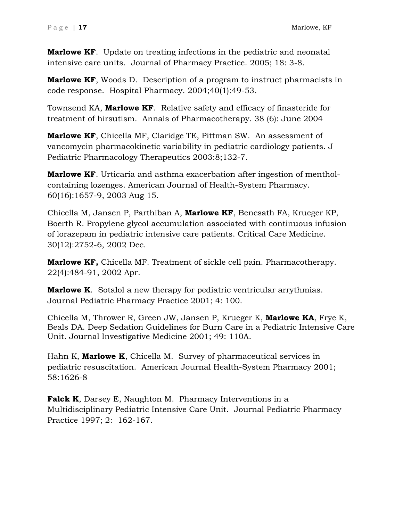**Marlowe KF**. Update on treating infections in the pediatric and neonatal intensive care units. Journal of Pharmacy Practice. 2005; 18: 3-8.

**Marlowe KF**, Woods D. Description of a program to instruct pharmacists in code response. Hospital Pharmacy. 2004;40(1):49-53.

Townsend KA, **Marlowe KF**. Relative safety and efficacy of finasteride for treatment of hirsutism. Annals of Pharmacotherapy. 38 (6): June 2004

**Marlowe KF**, Chicella MF, Claridge TE, Pittman SW. An assessment of vancomycin pharmacokinetic variability in pediatric cardiology patients. J Pediatric Pharmacology Therapeutics 2003:8;132-7.

**Marlowe KF**. Urticaria and asthma exacerbation after ingestion of mentholcontaining lozenges. American Journal of Health-System Pharmacy. 60(16):1657-9, 2003 Aug 15.

Chicella M, Jansen P, Parthiban A, **Marlowe KF**, Bencsath FA, Krueger KP, Boerth R. Propylene glycol accumulation associated with continuous infusion of lorazepam in pediatric intensive care patients. Critical Care Medicine. 30(12):2752-6, 2002 Dec.

**Marlowe KF,** Chicella MF. Treatment of sickle cell pain. Pharmacotherapy. 22(4):484-91, 2002 Apr.

**Marlowe K**. Sotalol a new therapy for pediatric ventricular arrythmias. Journal Pediatric Pharmacy Practice 2001; 4: 100.

Chicella M, Thrower R, Green JW, Jansen P, Krueger K, **Marlowe KA**, Frye K, Beals DA. Deep Sedation Guidelines for Burn Care in a Pediatric Intensive Care Unit. Journal Investigative Medicine 2001; 49: 110A.

Hahn K, **Marlowe K**, Chicella M. Survey of pharmaceutical services in pediatric resuscitation. American Journal Health-System Pharmacy 2001; 58:1626-8

**Falck K**, Darsey E, Naughton M. Pharmacy Interventions in a Multidisciplinary Pediatric Intensive Care Unit. Journal Pediatric Pharmacy Practice 1997; 2: 162-167.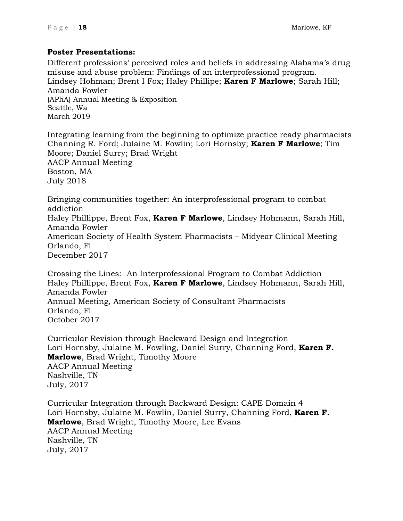# **Poster Presentations:**

Different professions' perceived roles and beliefs in addressing Alabama's drug misuse and abuse problem: Findings of an interprofessional program. Lindsey Hohman; Brent I Fox; Haley Phillipe; **Karen F Marlowe**; Sarah Hill; Amanda Fowler (APhA) Annual Meeting & Exposition Seattle, Wa March 2019

Integrating learning from the beginning to optimize practice ready pharmacists Channing R. Ford; Julaine M. Fowlin; Lori Hornsby; **Karen F Marlowe**; Tim Moore; Daniel Surry; Brad Wright AACP Annual Meeting Boston, MA July 2018

Bringing communities together: An interprofessional program to combat addiction

Haley Phillippe, Brent Fox, **Karen F Marlowe**, Lindsey Hohmann, Sarah Hill, Amanda Fowler

American Society of Health System Pharmacists – Midyear Clinical Meeting Orlando, Fl December 2017

Crossing the Lines: An Interprofessional Program to Combat Addiction Haley Phillippe, Brent Fox, **Karen F Marlowe**, Lindsey Hohmann, Sarah Hill, Amanda Fowler Annual Meeting, American Society of Consultant Pharmacists Orlando, Fl October 2017

Curricular Revision through Backward Design and Integration Lori Hornsby, Julaine M. Fowling, Daniel Surry, Channing Ford, **Karen F. Marlowe**, Brad Wright, Timothy Moore AACP Annual Meeting Nashville, TN July, 2017

Curricular Integration through Backward Design: CAPE Domain 4 Lori Hornsby, Julaine M. Fowlin, Daniel Surry, Channing Ford, **Karen F. Marlowe**, Brad Wright, Timothy Moore, Lee Evans AACP Annual Meeting Nashville, TN July, 2017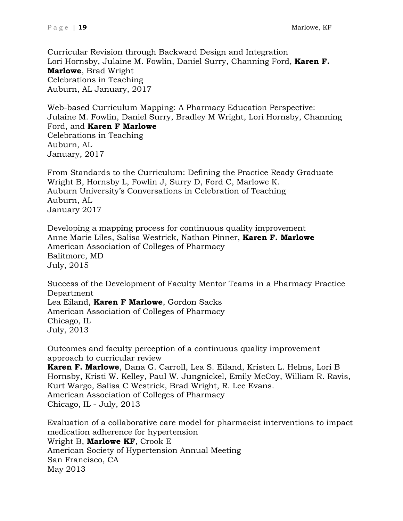Curricular Revision through Backward Design and Integration Lori Hornsby, Julaine M. Fowlin, Daniel Surry, Channing Ford, **Karen F. Marlowe**, Brad Wright Celebrations in Teaching Auburn, AL January, 2017

Web-based Curriculum Mapping: A Pharmacy Education Perspective: Julaine M. Fowlin, Daniel Surry, Bradley M Wright, Lori Hornsby, Channing Ford, and **Karen F Marlowe** Celebrations in Teaching Auburn, AL January, 2017

From Standards to the Curriculum: Defining the Practice Ready Graduate Wright B, Hornsby L, Fowlin J, Surry D, Ford C, Marlowe K. Auburn University's Conversations in Celebration of Teaching Auburn, AL January 2017

Developing a mapping process for continuous quality improvement Anne Marie Liles, Salisa Westrick, Nathan Pinner, **Karen F. Marlowe** American Association of Colleges of Pharmacy Balitmore, MD July, 2015

Success of the Development of Faculty Mentor Teams in a Pharmacy Practice Department Lea Eiland, **Karen F Marlowe**, Gordon Sacks American Association of Colleges of Pharmacy Chicago, IL July, 2013

Outcomes and faculty perception of a continuous quality improvement approach to curricular review **Karen F. Marlowe**, Dana G. Carroll, Lea S. Eiland, Kristen L. Helms, Lori B Hornsby, Kristi W. Kelley, Paul W. Jungnickel, Emily McCoy, William R. Ravis, Kurt Wargo, Salisa C Westrick, Brad Wright, R. Lee Evans. American Association of Colleges of Pharmacy Chicago, IL - July, 2013

Evaluation of a collaborative care model for pharmacist interventions to impact medication adherence for hypertension Wright B, **Marlowe KF**, Crook E American Society of Hypertension Annual Meeting San Francisco, CA May 2013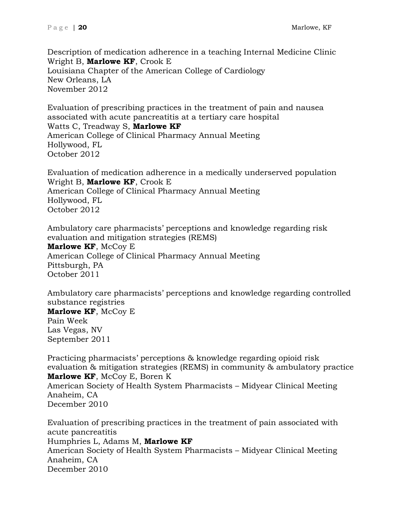Description of medication adherence in a teaching Internal Medicine Clinic Wright B, **Marlowe KF**, Crook E Louisiana Chapter of the American College of Cardiology New Orleans, LA November 2012

Evaluation of prescribing practices in the treatment of pain and nausea associated with acute pancreatitis at a tertiary care hospital Watts C, Treadway S, **Marlowe KF** American College of Clinical Pharmacy Annual Meeting Hollywood, FL October 2012

Evaluation of medication adherence in a medically underserved population Wright B, **Marlowe KF**, Crook E American College of Clinical Pharmacy Annual Meeting Hollywood, FL October 2012

Ambulatory care pharmacists' perceptions and knowledge regarding risk evaluation and mitigation strategies (REMS) **Marlowe KF**, McCoy E American College of Clinical Pharmacy Annual Meeting Pittsburgh, PA October 2011

Ambulatory care pharmacists' perceptions and knowledge regarding controlled substance registries **Marlowe KF**, McCoy E Pain Week Las Vegas, NV September 2011

Practicing pharmacists' perceptions & knowledge regarding opioid risk evaluation & mitigation strategies (REMS) in community & ambulatory practice **Marlowe KF**, McCoy E, Boren K American Society of Health System Pharmacists – Midyear Clinical Meeting Anaheim, CA December 2010

Evaluation of prescribing practices in the treatment of pain associated with acute pancreatitis Humphries L, Adams M, **Marlowe KF** American Society of Health System Pharmacists – Midyear Clinical Meeting Anaheim, CA December 2010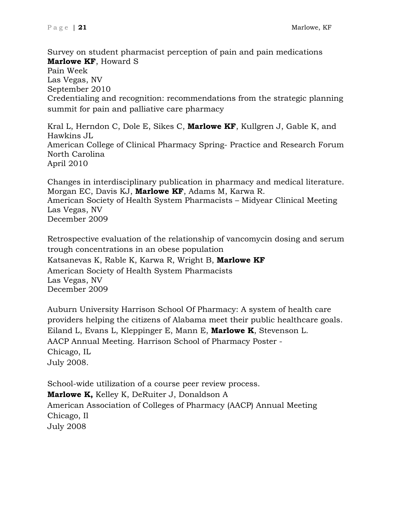Survey on student pharmacist perception of pain and pain medications **Marlowe KF**, Howard S Pain Week Las Vegas, NV September 2010 Credentialing and recognition: recommendations from the strategic planning summit for pain and palliative care pharmacy

[Kral L,](mailto:lee-kral@uiowa.edu) Herndon C, Dole E, Sikes C, **Marlowe KF**, Kullgren J, Gable K, and Hawkins JL American College of Clinical Pharmacy Spring- Practice and Research Forum North Carolina April 2010

Changes in interdisciplinary publication in pharmacy and medical literature. Morgan EC, Davis KJ, **Marlowe KF**, Adams M, Karwa R. American Society of Health System Pharmacists – Midyear Clinical Meeting Las Vegas, NV December 2009

Retrospective evaluation of the relationship of vancomycin dosing and serum trough concentrations in an obese population Katsanevas K, Rable K, Karwa R, Wright B, **Marlowe KF** American Society of Health System Pharmacists Las Vegas, NV December 2009

Auburn University Harrison School Of Pharmacy: A system of health care providers helping the citizens of Alabama meet their public healthcare goals. Eiland L, Evans L, Kleppinger E, Mann E, **Marlowe K**, Stevenson L. AACP Annual Meeting. Harrison School of Pharmacy Poster - Chicago, IL July 2008.

School-wide utilization of a course peer review process. **Marlowe K,** Kelley K, DeRuiter J, Donaldson A American Association of Colleges of Pharmacy (AACP) Annual Meeting Chicago, Il July 2008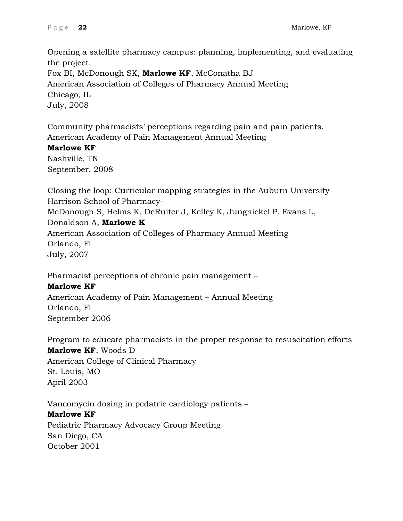Opening a satellite pharmacy campus: planning, implementing, and evaluating the project. Fox BI, McDonough SK, **Marlowe KF**, McConatha BJ American Association of Colleges of Pharmacy Annual Meeting Chicago, IL July, 2008

Community pharmacists' perceptions regarding pain and pain patients. American Academy of Pain Management Annual Meeting

## **Marlowe KF**

Nashville, TN September, 2008

Closing the loop: Curricular mapping strategies in the Auburn University Harrison School of Pharmacy-

McDonough S, Helms K, DeRuiter J, Kelley K, Jungnickel P, Evans L, Donaldson A, **Marlowe K**

American Association of Colleges of Pharmacy Annual Meeting Orlando, Fl July, 2007

Pharmacist perceptions of chronic pain management –

# **Marlowe KF**

American Academy of Pain Management – Annual Meeting Orlando, Fl September 2006

Program to educate pharmacists in the proper response to resuscitation efforts

## **Marlowe KF**, Woods D

American College of Clinical Pharmacy St. Louis, MO April 2003

Vancomycin dosing in pedatric cardiology patients – **Marlowe KF** Pediatric Pharmacy Advocacy Group Meeting

San Diego, CA October 2001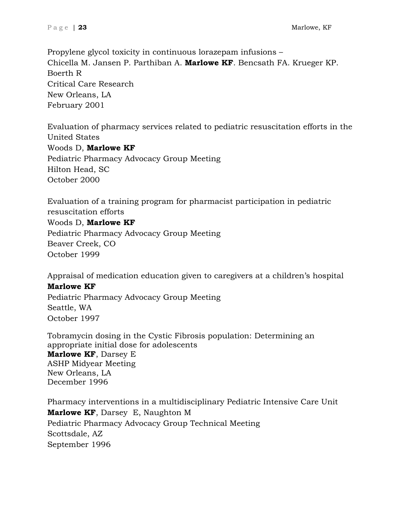Propylene glycol toxicity in continuous lorazepam infusions – Chicella M. Jansen P. Parthiban A. **Marlowe KF**. Bencsath FA. Krueger KP. Boerth R Critical Care Research New Orleans, LA February 2001

Evaluation of pharmacy services related to pediatric resuscitation efforts in the United States Woods D, **Marlowe KF** Pediatric Pharmacy Advocacy Group Meeting Hilton Head, SC October 2000

Evaluation of a training program for pharmacist participation in pediatric resuscitation efforts Woods D, **Marlowe KF** Pediatric Pharmacy Advocacy Group Meeting Beaver Creek, CO October 1999

Appraisal of medication education given to caregivers at a children's hospital

# **Marlowe KF**

Pediatric Pharmacy Advocacy Group Meeting Seattle, WA October 1997

Tobramycin dosing in the Cystic Fibrosis population: Determining an appropriate initial dose for adolescents **Marlowe KF**, Darsey E ASHP Midyear Meeting New Orleans, LA December 1996

Pharmacy interventions in a multidisciplinary Pediatric Intensive Care Unit **Marlowe KF**, Darsey E, Naughton M Pediatric Pharmacy Advocacy Group Technical Meeting Scottsdale, AZ September 1996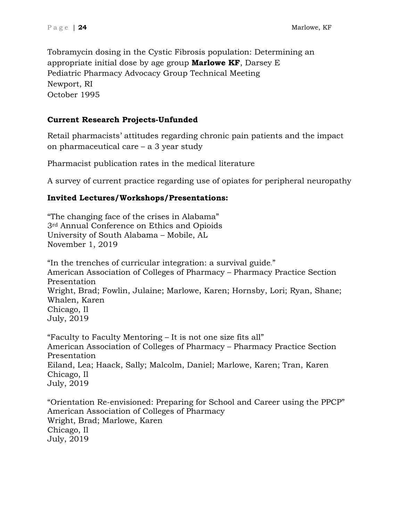Tobramycin dosing in the Cystic Fibrosis population: Determining an appropriate initial dose by age group **Marlowe KF**, Darsey E Pediatric Pharmacy Advocacy Group Technical Meeting Newport, RI October 1995

# **Current Research Projects-Unfunded**

Retail pharmacists' attitudes regarding chronic pain patients and the impact on pharmaceutical care – a 3 year study

Pharmacist publication rates in the medical literature

A survey of current practice regarding use of opiates for peripheral neuropathy

# **Invited Lectures/Workshops/Presentations:**

"The changing face of the crises in Alabama" 3rd Annual Conference on Ethics and Opioids University of South Alabama – Mobile, AL November 1, 2019

"In the trenches of curricular integration: a survival guide." American Association of Colleges of Pharmacy – Pharmacy Practice Section Presentation Wright, Brad; Fowlin, Julaine; Marlowe, Karen; Hornsby, Lori; Ryan, Shane; Whalen, Karen Chicago, Il July, 2019

"Faculty to Faculty Mentoring – It is not one size fits all" American Association of Colleges of Pharmacy – Pharmacy Practice Section Presentation Eiland, Lea; Haack, Sally; Malcolm, Daniel; Marlowe, Karen; Tran, Karen Chicago, Il July, 2019

"Orientation Re-envisioned: Preparing for School and Career using the PPCP" American Association of Colleges of Pharmacy Wright, Brad; Marlowe, Karen Chicago, Il July, 2019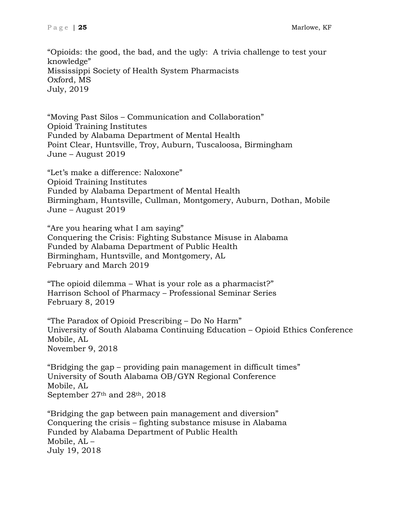"Opioids: the good, the bad, and the ugly: A trivia challenge to test your knowledge" Mississippi Society of Health System Pharmacists Oxford, MS July, 2019

"Moving Past Silos – Communication and Collaboration" Opioid Training Institutes Funded by Alabama Department of Mental Health Point Clear, Huntsville, Troy, Auburn, Tuscaloosa, Birmingham June – August 2019

"Let's make a difference: Naloxone" Opioid Training Institutes Funded by Alabama Department of Mental Health Birmingham, Huntsville, Cullman, Montgomery, Auburn, Dothan, Mobile June – August 2019

"Are you hearing what I am saying" Conquering the Crisis: Fighting Substance Misuse in Alabama Funded by Alabama Department of Public Health Birmingham, Huntsville, and Montgomery, AL February and March 2019

"The opioid dilemma – What is your role as a pharmacist?" Harrison School of Pharmacy – Professional Seminar Series February 8, 2019

"The Paradox of Opioid Prescribing – Do No Harm" University of South Alabama Continuing Education – Opioid Ethics Conference Mobile, AL November 9, 2018

"Bridging the gap – providing pain management in difficult times" University of South Alabama OB/GYN Regional Conference Mobile, AL September 27<sup>th</sup> and 28<sup>th</sup>, 2018

"Bridging the gap between pain management and diversion" Conquering the crisis – fighting substance misuse in Alabama Funded by Alabama Department of Public Health Mobile, AL – July 19, 2018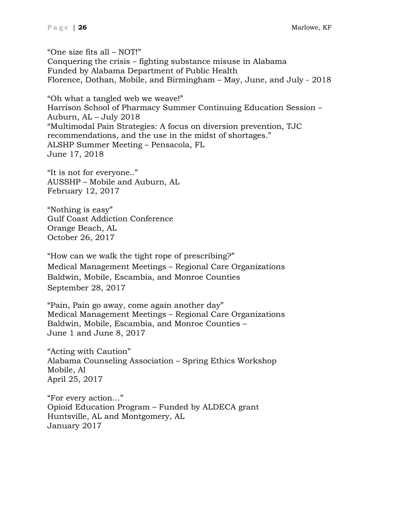"One size fits all – NOT!" Conquering the crisis – fighting substance misuse in Alabama Funded by Alabama Department of Public Health Florence, Dothan, Mobile, and Birmingham – May, June, and July - 2018

"Oh what a tangled web we weave!" Harrison School of Pharmacy Summer Continuing Education Session – Auburn, AL – July 2018 "Multimodal Pain Strategies: A focus on diversion prevention, TJC recommendations, and the use in the midst of shortages." ALSHP Summer Meeting – Pensacola, FL June 17, 2018

"It is not for everyone.." AUSSHP – Mobile and Auburn, AL February 12, 2017

"Nothing is easy" Gulf Coast Addiction Conference Orange Beach, AL October 26, 2017

"How can we walk the tight rope of prescribing?" Medical Management Meetings – Regional Care Organizations Baldwin, Mobile, Escambia, and Monroe Counties September 28, 2017

"Pain, Pain go away, come again another day" Medical Management Meetings – Regional Care Organizations Baldwin, Mobile, Escambia, and Monroe Counties – June 1 and June 8, 2017

"Acting with Caution" Alabama Counseling Association – Spring Ethics Workshop Mobile, Al April 25, 2017

"For every action…" Opioid Education Program – Funded by ALDECA grant Huntsville, AL and Montgomery, AL January 2017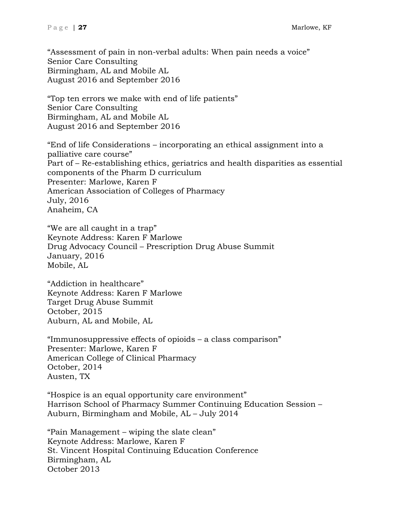"Assessment of pain in non-verbal adults: When pain needs a voice" Senior Care Consulting Birmingham, AL and Mobile AL August 2016 and September 2016

"Top ten errors we make with end of life patients" Senior Care Consulting Birmingham, AL and Mobile AL August 2016 and September 2016

"End of life Considerations – incorporating an ethical assignment into a palliative care course" Part of – Re-establishing ethics, geriatrics and health disparities as essential components of the Pharm D curriculum Presenter: Marlowe, Karen F American Association of Colleges of Pharmacy July, 2016 Anaheim, CA

"We are all caught in a trap" Keynote Address: Karen F Marlowe Drug Advocacy Council – Prescription Drug Abuse Summit January, 2016 Mobile, AL

"Addiction in healthcare" Keynote Address: Karen F Marlowe Target Drug Abuse Summit October, 2015 Auburn, AL and Mobile, AL

"Immunosuppressive effects of opioids – a class comparison" Presenter: Marlowe, Karen F American College of Clinical Pharmacy October, 2014 Austen, TX

"Hospice is an equal opportunity care environment" Harrison School of Pharmacy Summer Continuing Education Session – Auburn, Birmingham and Mobile, AL – July 2014

"Pain Management – wiping the slate clean" Keynote Address: Marlowe, Karen F St. Vincent Hospital Continuing Education Conference Birmingham, AL October 2013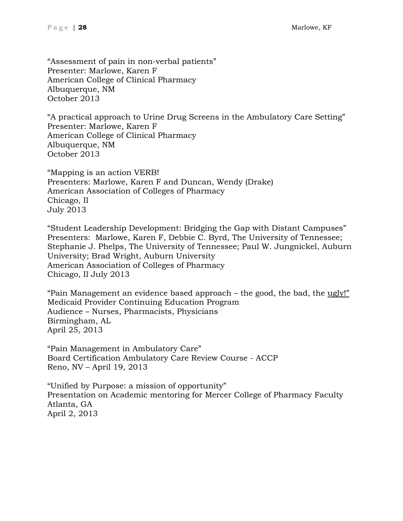"Assessment of pain in non-verbal patients" Presenter: Marlowe, Karen F American College of Clinical Pharmacy Albuquerque, NM October 2013

"A practical approach to Urine Drug Screens in the Ambulatory Care Setting" Presenter: Marlowe, Karen F American College of Clinical Pharmacy Albuquerque, NM October 2013

"Mapping is an action VERB! Presenters: Marlowe, Karen F and Duncan, Wendy (Drake) American Association of Colleges of Pharmacy Chicago, Il July 2013

"Student Leadership Development: Bridging the Gap with Distant Campuses" Presenters: Marlowe, Karen F, Debbie C. Byrd, The University of Tennessee; Stephanie J. Phelps, The University of Tennessee; Paul W. Jungnickel, Auburn University; Brad Wright, Auburn University American Association of Colleges of Pharmacy Chicago, Il July 2013

"Pain Management an evidence based approach – the good, the bad, the ugly!" Medicaid Provider Continuing Education Program Audience – Nurses, Pharmacists, Physicians Birmingham, AL April 25, 2013

"Pain Management in Ambulatory Care" Board Certification Ambulatory Care Review Course - ACCP Reno, NV – April 19, 2013

"Unified by Purpose: a mission of opportunity" Presentation on Academic mentoring for Mercer College of Pharmacy Faculty Atlanta, GA April 2, 2013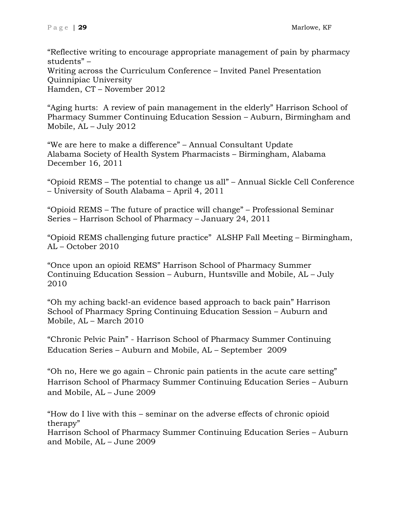"Reflective writing to encourage appropriate management of pain by pharmacy students" – Writing across the Curriculum Conference – Invited Panel Presentation Quinnipiac University Hamden, CT – November 2012

"Aging hurts: A review of pain management in the elderly" Harrison School of Pharmacy Summer Continuing Education Session – Auburn, Birmingham and Mobile, AL – July 2012

"We are here to make a difference" – Annual Consultant Update Alabama Society of Health System Pharmacists – Birmingham, Alabama December 16, 2011

"Opioid REMS – The potential to change us all" – Annual Sickle Cell Conference – University of South Alabama – April 4, 2011

"Opioid REMS – The future of practice will change" – Professional Seminar Series – Harrison School of Pharmacy – January 24, 2011

"Opioid REMS challenging future practice" ALSHP Fall Meeting – Birmingham, AL – October 2010

"Once upon an opioid REMS" Harrison School of Pharmacy Summer Continuing Education Session – Auburn, Huntsville and Mobile, AL – July 2010

"Oh my aching back!-an evidence based approach to back pain" Harrison School of Pharmacy Spring Continuing Education Session – Auburn and Mobile, AL – March 2010

"Chronic Pelvic Pain" - Harrison School of Pharmacy Summer Continuing Education Series – Auburn and Mobile, AL – September 2009

"Oh no, Here we go again – Chronic pain patients in the acute care setting" Harrison School of Pharmacy Summer Continuing Education Series – Auburn and Mobile, AL – June 2009

"How do I live with this – seminar on the adverse effects of chronic opioid therapy" Harrison School of Pharmacy Summer Continuing Education Series – Auburn and Mobile, AL – June 2009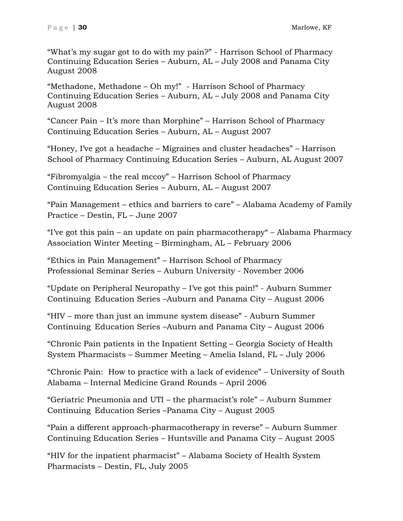"What's my sugar got to do with my pain?" - Harrison School of Pharmacy Continuing Education Series – Auburn, AL – July 2008 and Panama City August 2008

"Methadone, Methadone – Oh my!" - Harrison School of Pharmacy Continuing Education Series – Auburn, AL – July 2008 and Panama City August 2008

"Cancer Pain – It's more than Morphine" – Harrison School of Pharmacy Continuing Education Series – Auburn, AL – August 2007

"Honey, I've got a headache – Migraines and cluster headaches" – Harrison School of Pharmacy Continuing Education Series – Auburn, AL August 2007

"Fibromyalgia – the real mccoy" – Harrison School of Pharmacy Continuing Education Series – Auburn, AL – August 2007

"Pain Management – ethics and barriers to care" – Alabama Academy of Family Practice – Destin, FL – June 2007

"I've got this pain – an update on pain pharmacotherapy" – Alabama Pharmacy Association Winter Meeting – Birmingham, AL – February 2006

"Ethics in Pain Management" – Harrison School of Pharmacy Professional Seminar Series – Auburn University - November 2006

"Update on Peripheral Neuropathy – I've got this pain!" - Auburn Summer Continuing Education Series –Auburn and Panama City – August 2006

"HIV – more than just an immune system disease" - Auburn Summer Continuing Education Series –Auburn and Panama City – August 2006

"Chronic Pain patients in the Inpatient Setting – Georgia Society of Health System Pharmacists – Summer Meeting – Amelia Island, FL – July 2006

"Chronic Pain: How to practice with a lack of evidence" – University of South Alabama – Internal Medicine Grand Rounds – April 2006

"Geriatric Pneumonia and UTI – the pharmacist's role" – Auburn Summer Continuing Education Series –Panama City – August 2005

"Pain a different approach-pharmacotherapy in reverse" – Auburn Summer Continuing Education Series – Huntsville and Panama City – August 2005

"HIV for the inpatient pharmacist" – Alabama Society of Health System Pharmacists – Destin, FL, July 2005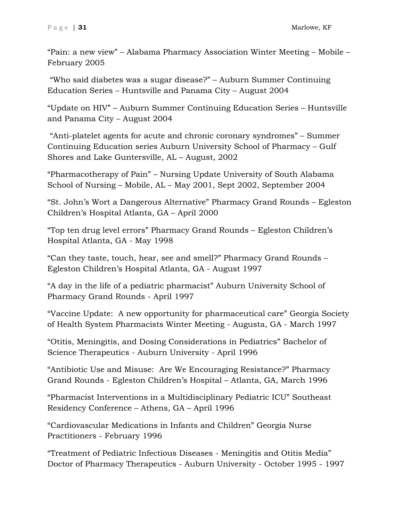"Pain: a new view" – Alabama Pharmacy Association Winter Meeting – Mobile – February 2005

"Who said diabetes was a sugar disease?" – Auburn Summer Continuing Education Series – Huntsville and Panama City – August 2004

"Update on HIV" – Auburn Summer Continuing Education Series – Huntsville and Panama City – August 2004

"Anti-platelet agents for acute and chronic coronary syndromes" – Summer Continuing Education series Auburn University School of Pharmacy – Gulf Shores and Lake Guntersville, AL – August, 2002

"Pharmacotherapy of Pain" – Nursing Update University of South Alabama School of Nursing – Mobile, AL – May 2001, Sept 2002, September 2004

"St. John's Wort a Dangerous Alternative" Pharmacy Grand Rounds – Egleston Children's Hospital Atlanta, GA – April 2000

"Top ten drug level errors" Pharmacy Grand Rounds – Egleston Children's Hospital Atlanta, GA - May 1998

"Can they taste, touch, hear, see and smell?" Pharmacy Grand Rounds – Egleston Children's Hospital Atlanta, GA - August 1997

"A day in the life of a pediatric pharmacist" Auburn University School of Pharmacy Grand Rounds - April 1997

"Vaccine Update: A new opportunity for pharmaceutical care" Georgia Society of Health System Pharmacists Winter Meeting - Augusta, GA - March 1997

"Otitis, Meningitis, and Dosing Considerations in Pediatrics" Bachelor of Science Therapeutics - Auburn University - April 1996

"Antibiotic Use and Misuse: Are We Encouraging Resistance?" Pharmacy Grand Rounds - Egleston Children's Hospital – Atlanta, GA, March 1996

"Pharmacist Interventions in a Multidisciplinary Pediatric ICU" Southeast Residency Conference – Athens, GA – April 1996

"Cardiovascular Medications in Infants and Children" Georgia Nurse Practitioners - February 1996

"Treatment of Pediatric Infectious Diseases - Meningitis and Otitis Media" Doctor of Pharmacy Therapeutics - Auburn University - October 1995 - 1997